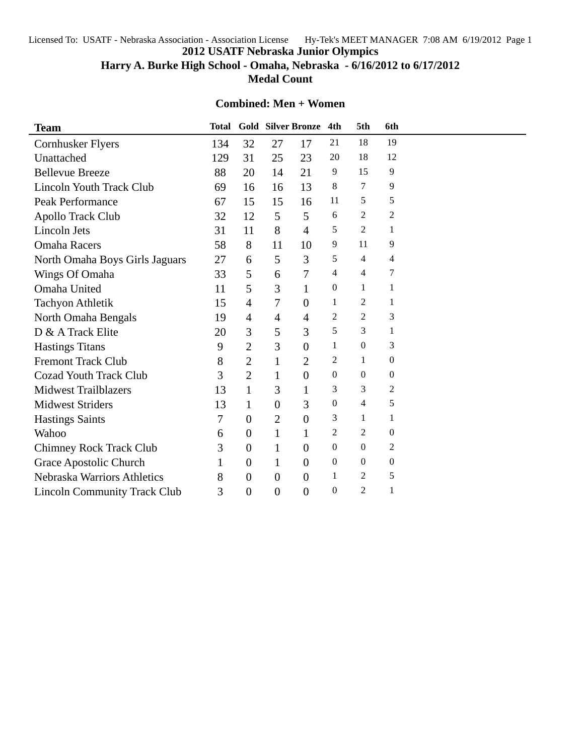Licensed To: USATF - Nebraska Association - Association License Hy-Tek's MEET MANAGER 7:08 AM 6/19/2012 Page 1

**2012 USATF Nebraska Junior Olympics**

**Harry A. Burke High School - Omaha, Nebraska - 6/16/2012 to 6/17/2012**

**Medal Count**

## **Combined: Men + Women**

| <b>Team</b>                         | <b>Total</b> |                |                  | <b>Gold Silver Bronze</b> | 4th              | 5th              | 6th              |  |
|-------------------------------------|--------------|----------------|------------------|---------------------------|------------------|------------------|------------------|--|
| Cornhusker Flyers                   | 134          | 32             | 27               | 17                        | 21               | 18               | 19               |  |
| Unattached                          | 129          | 31             | 25               | 23                        | 20               | 18               | 12               |  |
| <b>Bellevue Breeze</b>              | 88           | 20             | 14               | 21                        | 9                | 15               | 9                |  |
| <b>Lincoln Youth Track Club</b>     | 69           | 16             | 16               | 13                        | 8                | 7                | 9                |  |
| Peak Performance                    | 67           | 15             | 15               | 16                        | 11               | 5                | 5                |  |
| Apollo Track Club                   | 32           | 12             | 5                | 5                         | 6                | 2                | $\overline{c}$   |  |
| Lincoln Jets                        | 31           | 11             | 8                | $\overline{4}$            | 5                | $\overline{c}$   | $\mathbf{1}$     |  |
| <b>Omaha Racers</b>                 | 58           | 8              | 11               | 10                        | 9                | 11               | 9                |  |
| North Omaha Boys Girls Jaguars      | 27           | 6              | 5                | 3                         | 5                | 4                | 4                |  |
| Wings Of Omaha                      | 33           | 5              | 6                | 7                         | 4                | 4                | 7                |  |
| Omaha United                        | 11           | 5              | 3                | $\mathbf{1}$              | $\overline{0}$   | 1                | 1                |  |
| <b>Tachyon Athletik</b>             | 15           | $\overline{4}$ | 7                | $\overline{0}$            | 1                | 2                | $\mathbf{1}$     |  |
| North Omaha Bengals                 | 19           | $\overline{4}$ | $\overline{4}$   | $\overline{4}$            | 2                | $\overline{c}$   | 3                |  |
| D & A Track Elite                   | 20           | 3              | 5                | 3                         | 5                | 3                | $\mathbf{1}$     |  |
| <b>Hastings Titans</b>              | 9            | $\overline{2}$ | 3                | $\overline{0}$            | 1                | $\boldsymbol{0}$ | 3                |  |
| <b>Fremont Track Club</b>           | 8            | $\overline{2}$ | $\mathbf{1}$     | $\overline{2}$            | 2                | 1                | $\boldsymbol{0}$ |  |
| <b>Cozad Youth Track Club</b>       | 3            | $\overline{2}$ | $\mathbf{1}$     | $\overline{0}$            | $\boldsymbol{0}$ | $\boldsymbol{0}$ | $\boldsymbol{0}$ |  |
| <b>Midwest Trailblazers</b>         | 13           | $\mathbf{1}$   | 3                | 1                         | 3                | 3                | $\overline{c}$   |  |
| <b>Midwest Striders</b>             | 13           | $\mathbf{1}$   | $\overline{0}$   | 3                         | $\theta$         | 4                | 5                |  |
| <b>Hastings Saints</b>              | 7            | $\overline{0}$ | $\overline{2}$   | $\overline{0}$            | 3                | 1                | $\mathbf{1}$     |  |
| Wahoo                               | 6            | $\theta$       | $\mathbf{1}$     | $\mathbf{1}$              | 2                | 2                | $\boldsymbol{0}$ |  |
| <b>Chimney Rock Track Club</b>      | 3            | $\overline{0}$ | 1                | $\overline{0}$            | $\boldsymbol{0}$ | $\boldsymbol{0}$ | $\overline{c}$   |  |
| Grace Apostolic Church              |              | $\overline{0}$ | $\mathbf{1}$     | $\overline{0}$            | $\theta$         | $\theta$         | $\boldsymbol{0}$ |  |
| Nebraska Warriors Athletics         | 8            | $\overline{0}$ | $\boldsymbol{0}$ | $\theta$                  | 1                | 2                | 5                |  |
| <b>Lincoln Community Track Club</b> | 3            | $\overline{0}$ | $\boldsymbol{0}$ | $\overline{0}$            | $\boldsymbol{0}$ | $\overline{c}$   | $\mathbf{1}$     |  |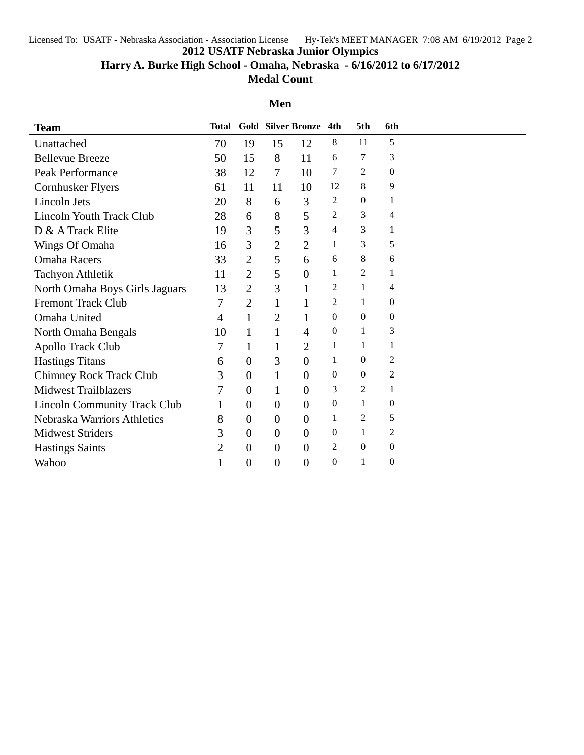Licensed To: USATF - Nebraska Association - Association License Hy-Tek's MEET MANAGER 7:08 AM 6/19/2012 Page 2

**2012 USATF Nebraska Junior Olympics**

**Harry A. Burke High School - Omaha, Nebraska - 6/16/2012 to 6/17/2012**

**Medal Count**

## **Men**

| <b>Team</b>                         | <b>Total</b>   |                |                | <b>Gold Silver Bronze</b> | 4th              | 5th              | 6th              |  |
|-------------------------------------|----------------|----------------|----------------|---------------------------|------------------|------------------|------------------|--|
| Unattached                          | 70             | 19             | 15             | 12                        | 8                | 11               | 5                |  |
| <b>Bellevue Breeze</b>              | 50             | 15             | 8              | 11                        | 6                | 7                | 3                |  |
| Peak Performance                    | 38             | 12             | 7              | 10                        | 7                | $\overline{2}$   | $\boldsymbol{0}$ |  |
| Cornhusker Flyers                   | 61             | 11             | 11             | 10                        | 12               | 8                | 9                |  |
| <b>Lincoln Jets</b>                 | 20             | 8              | 6              | 3                         | 2                | $\mathbf{0}$     | 1                |  |
| <b>Lincoln Youth Track Club</b>     | 28             | 6              | 8              | 5                         | $\overline{2}$   | 3                | 4                |  |
| D & A Track Elite                   | 19             | 3              | 5              | 3                         | 4                | 3                | 1                |  |
| Wings Of Omaha                      | 16             | 3              | $\overline{2}$ | $\overline{2}$            | 1                | 3                | 5                |  |
| <b>Omaha Racers</b>                 | 33             | $\overline{2}$ | 5              | 6                         | 6                | 8                | 6                |  |
| <b>Tachyon Athletik</b>             | 11             | $\overline{2}$ | 5              | $\Omega$                  | 1                | 2                | 1                |  |
| North Omaha Boys Girls Jaguars      | 13             | $\overline{2}$ | 3              | 1                         | 2                | 1                | 4                |  |
| Fremont Track Club                  | 7              | $\overline{2}$ | 1              | 1                         | $\overline{c}$   | 1                | $\boldsymbol{0}$ |  |
| Omaha United                        | $\overline{4}$ | $\mathbf{1}$   | 2              | 1                         | $\boldsymbol{0}$ | $\overline{0}$   | $\overline{0}$   |  |
| North Omaha Bengals                 | 10             | $\mathbf{1}$   | $\mathbf{1}$   | $\overline{4}$            | $\mathbf{0}$     | 1                | 3                |  |
| Apollo Track Club                   | 7              | 1              | 1              | $\overline{2}$            | 1                | 1                | 1                |  |
| <b>Hastings Titans</b>              | 6              | $\theta$       | 3              | $\overline{0}$            | 1                | $\boldsymbol{0}$ | 2                |  |
| Chimney Rock Track Club             | 3              | $\mathbf{0}$   | 1              | $\theta$                  | $\mathbf{0}$     | $\theta$         | $\overline{2}$   |  |
| <b>Midwest Trailblazers</b>         | 7              | $\overline{0}$ | 1              | $\overline{0}$            | 3                | $\overline{c}$   | 1                |  |
| <b>Lincoln Community Track Club</b> | 1              | $\overline{0}$ | $\theta$       | $\Omega$                  | $\boldsymbol{0}$ | 1                | $\boldsymbol{0}$ |  |
| Nebraska Warriors Athletics         | 8              | $\theta$       | $\theta$       | $\theta$                  | 1                | 2                | 5                |  |
| <b>Midwest Striders</b>             | 3              | $\theta$       | $\theta$       | $\overline{0}$            | $\Omega$         | 1                | $\overline{2}$   |  |
| <b>Hastings Saints</b>              | 2              | $\overline{0}$ | $\overline{0}$ | $\Omega$                  | 2                | $\theta$         | $\boldsymbol{0}$ |  |
| Wahoo                               | 1              | $\overline{0}$ | 0              | $\overline{0}$            | $\boldsymbol{0}$ | 1                | $\boldsymbol{0}$ |  |